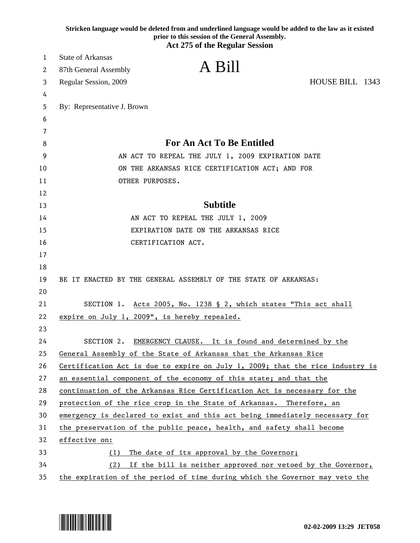| Stricken language would be deleted from and underlined language would be added to the law as it existed<br>prior to this session of the General Assembly.<br><b>Act 275 of the Regular Session</b> |                                                                               |                 |  |  |
|----------------------------------------------------------------------------------------------------------------------------------------------------------------------------------------------------|-------------------------------------------------------------------------------|-----------------|--|--|
| 1                                                                                                                                                                                                  | <b>State of Arkansas</b>                                                      |                 |  |  |
| 2                                                                                                                                                                                                  | A Bill<br>87th General Assembly                                               |                 |  |  |
| 3                                                                                                                                                                                                  | Regular Session, 2009                                                         | HOUSE BILL 1343 |  |  |
| 4                                                                                                                                                                                                  |                                                                               |                 |  |  |
| 5                                                                                                                                                                                                  | By: Representative J. Brown                                                   |                 |  |  |
| 6                                                                                                                                                                                                  |                                                                               |                 |  |  |
| 7                                                                                                                                                                                                  |                                                                               |                 |  |  |
| 8                                                                                                                                                                                                  | <b>For An Act To Be Entitled</b>                                              |                 |  |  |
| 9                                                                                                                                                                                                  | AN ACT TO REPEAL THE JULY 1, 2009 EXPIRATION DATE                             |                 |  |  |
| 10                                                                                                                                                                                                 | ON THE ARKANSAS RICE CERTIFICATION ACT; AND FOR                               |                 |  |  |
| 11                                                                                                                                                                                                 | OTHER PURPOSES.                                                               |                 |  |  |
| 12                                                                                                                                                                                                 |                                                                               |                 |  |  |
| 13                                                                                                                                                                                                 | <b>Subtitle</b>                                                               |                 |  |  |
| 14                                                                                                                                                                                                 | AN ACT TO REPEAL THE JULY 1, 2009                                             |                 |  |  |
| 15                                                                                                                                                                                                 | EXPIRATION DATE ON THE ARKANSAS RICE                                          |                 |  |  |
| 16                                                                                                                                                                                                 | CERTIFICATION ACT.                                                            |                 |  |  |
| 17                                                                                                                                                                                                 |                                                                               |                 |  |  |
| 18                                                                                                                                                                                                 |                                                                               |                 |  |  |
| 19                                                                                                                                                                                                 | BE IT ENACTED BY THE GENERAL ASSEMBLY OF THE STATE OF ARKANSAS:               |                 |  |  |
| 20                                                                                                                                                                                                 |                                                                               |                 |  |  |
| 21                                                                                                                                                                                                 | SECTION 1. Acts 2005, No. 1238 § 2, which states "This act shall              |                 |  |  |
| 22                                                                                                                                                                                                 | expire on July 1, 2009", is hereby repealed.                                  |                 |  |  |
| 23                                                                                                                                                                                                 |                                                                               |                 |  |  |
| 24                                                                                                                                                                                                 | SECTION 2. EMERGENCY CLAUSE. It is found and determined by the                |                 |  |  |
| 25                                                                                                                                                                                                 | General Assembly of the State of Arkansas that the Arkansas Rice              |                 |  |  |
| 26                                                                                                                                                                                                 | Certification Act is due to expire on July 1, 2009; that the rice industry is |                 |  |  |
| 27                                                                                                                                                                                                 | an essential component of the economy of this state; and that the             |                 |  |  |
| 28                                                                                                                                                                                                 | continuation of the Arkansas Rice Certification Act is necessary for the      |                 |  |  |
| 29                                                                                                                                                                                                 | protection of the rice crop in the State of Arkansas. Therefore, an           |                 |  |  |
| 30                                                                                                                                                                                                 | emergency is declared to exist and this act being immediately necessary for   |                 |  |  |
| 31                                                                                                                                                                                                 | the preservation of the public peace, health, and safety shall become         |                 |  |  |
| 32                                                                                                                                                                                                 | effective on:                                                                 |                 |  |  |
| 33                                                                                                                                                                                                 | The date of its approval by the Governor;<br>(1)                              |                 |  |  |
| 34                                                                                                                                                                                                 | (2)<br>If the bill is neither approved nor vetoed by the Governor,            |                 |  |  |
| 35                                                                                                                                                                                                 | the expiration of the period of time during which the Governor may veto the   |                 |  |  |